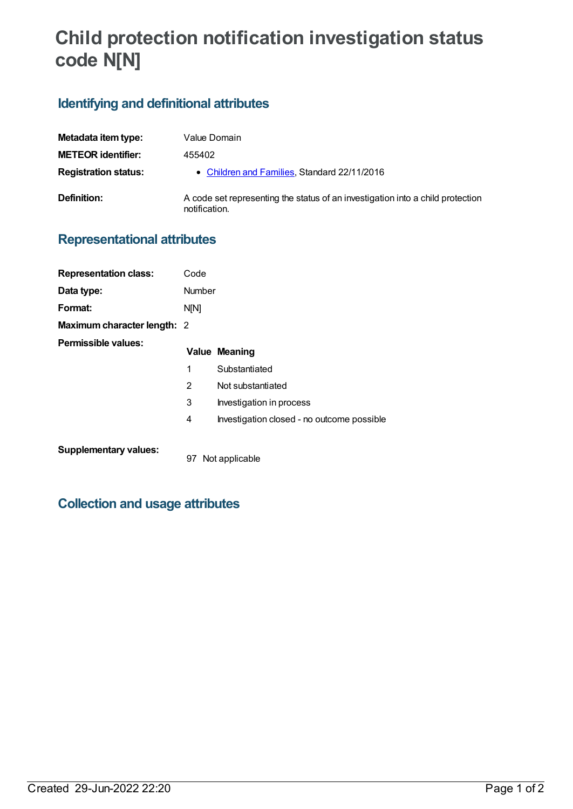# **Child protection notification investigation status code N[N]**

# **Identifying and definitional attributes**

| Metadata item type:         | Value Domain                                                                                    |
|-----------------------------|-------------------------------------------------------------------------------------------------|
| <b>METEOR identifier:</b>   | 455402                                                                                          |
| <b>Registration status:</b> | • Children and Families, Standard 22/11/2016                                                    |
| Definition:                 | A code set representing the status of an investigation into a child protection<br>notification. |

# **Representational attributes**

| <b>Representation class:</b> | Code   |                                            |
|------------------------------|--------|--------------------------------------------|
| Data type:                   | Number |                                            |
| Format:                      | N[N]   |                                            |
| Maximum character length: 2  |        |                                            |
| Permissible values:          |        | <b>Value Meaning</b>                       |
|                              | 1      | Substantiated                              |
|                              | 2      | Not substantiated                          |
|                              | 3      | Investigation in process                   |
|                              | 4      | Investigation closed - no outcome possible |
|                              |        |                                            |

#### **Supplementary values:**

97 Not applicable

# **Collection and usage attributes**